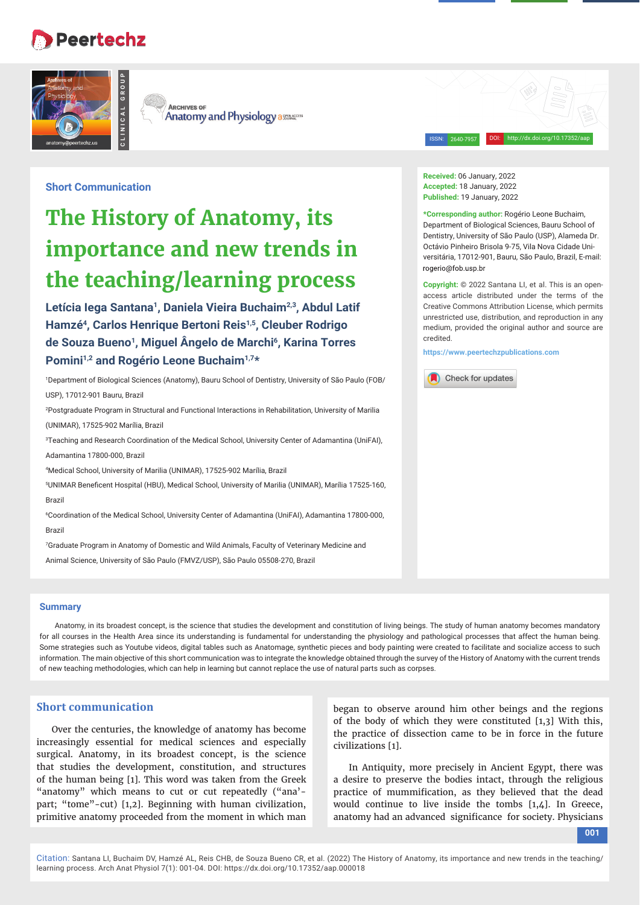# **Peertechz**



**ARCHIVES OF Anatomy and Physiology assurances** 

**Short Communication**

# **The History of Anatomy, its importance and new trends in the teaching/learning process**

Letícia Iega Santana<sup>1</sup>, Daniela Vieira Buchaim<sup>2,3</sup>, Abdul Latif **Hamzé4, Carlos Henrique Bertoni Reis1,5, Cleuber Rodrigo de Souza Bueno1, Miguel Ângelo de Marchi6, Karina Torres Pomini1,2 and Rogério Leone Buchaim1,7\***

1 Department of Biological Sciences (Anatomy), Bauru School of Dentistry, University of São Paulo (FOB/ USP), 17012-901 Bauru, Brazil

2 Postgraduate Program in Structural and Functional Interactions in Rehabilitation, University of Marilia (UNIMAR), 17525-902 Marília, Brazil

3 Teaching and Research Coordination of the Medical School, University Center of Adamantina (UniFAI), Adamantina 17800-000, Brazil

4 Medical School, University of Marilia (UNIMAR), 17525-902 Marília, Brazil

5 UNIMAR Benefi cent Hospital (HBU), Medical School, University of Marilia (UNIMAR), Marília 17525-160, Brazil

6 Coordination of the Medical School, University Center of Adamantina (UniFAI), Adamantina 17800-000, Brazil

7 Graduate Program in Anatomy of Domestic and Wild Animals, Faculty of Veterinary Medicine and Animal Science, University of São Paulo (FMVZ/USP), São Paulo 05508-270, Brazil

### **Summary**

Anatomy, in its broadest concept, is the science that studies the development and constitution of living beings. The study of human anatomy becomes mandatory for all courses in the Health Area since its understanding is fundamental for understanding the physiology and pathological processes that affect the human being. Some strategies such as Youtube videos, digital tables such as Anatomage, synthetic pieces and body painting were created to facilitate and socialize access to such information. The main objective of this short communication was to integrate the knowledge obtained through the survey of the History of Anatomy with the current trends of new teaching methodologies, which can help in learning but cannot replace the use of natural parts such as corpses.

# **Short communication**

Over the centuries, the knowledge of anatomy has become increasingly essential for medical sciences and especially surgical. Anatomy, in its broadest concept, is the science that studies the development, constitution, and structures of the human being [1]. This word was taken from the Greek "anatomy" which means to cut or cut repeatedly ("ana' part; "tome"-cut) [1,2]. Beginning with human civilization, primitive anatomy proceeded from the moment in which man

began to observe around him other beings and the regions of the body of which they were constituted [1,3] With this, the practice of dissection came to be in force in the future civilizations [1].

In Antiquity, more precisely in Ancient Egypt, there was a desire to preserve the bodies intact, through the religious practice of mummification, as they believed that the dead would continue to live inside the tombs [1,4]. In Greece, anatomy had an advanced significance for society. Physicians

**Received:** 06 January, 2022 **Accepted:** 18 January, 2022 **Published:** 19 January, 2022

**\*Corresponding author:** Rogério Leone Buchaim, Department of Biological Sciences, Bauru School of Dentistry, University of São Paulo (USP), Alameda Dr. Octávio Pinheiro Brisola 9-75, Vila Nova Cidade Universitária, 17012-901, Bauru, São Paulo, Brazil, E-mail: rogerio@fob.usp.br

ISSN: 2640-7957 DOI: http://dx.doi.org/10.17352/aap

**Copyright:** © 2022 Santana LI, et al. This is an openaccess article distributed under the terms of the Creative Commons Attribution License, which permits unrestricted use, distribution, and reproduction in any medium, provided the original author and source are credited.

**https://www.peertechzpublications.com**

Check for updates

**001**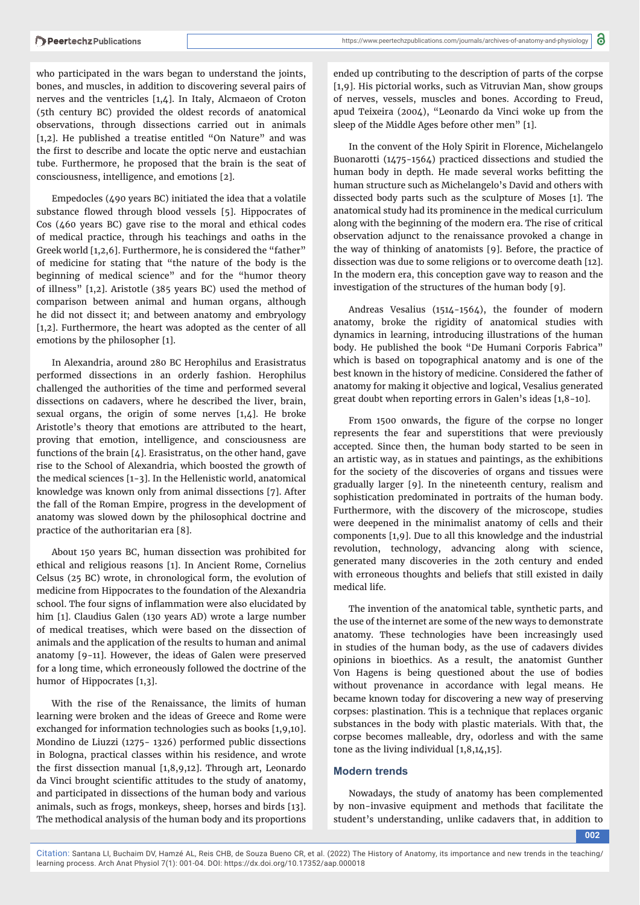who participated in the wars began to understand the joints, bones, and muscles, in addition to discovering several pairs of nerves and the ventricles [1,4]. In Italy, Alcmaeon of Croton (5th century BC) provided the oldest records of anatomical observations, through dissections carried out in animals [1,2]. He published a treatise entitled "On Nature" and was the first to describe and locate the optic nerve and eustachian tube. Furthermore, he proposed that the brain is the seat of consciousness, intelligence, and emotions [2].

Empedocles (490 years BC) initiated the idea that a volatile substance flowed through blood vessels [5]. Hippocrates of Cos (460 years BC) gave rise to the moral and ethical codes of medical practice, through his teachings and oaths in the Greek world [1,2,6]. Furthermore, he is considered the "father" of medicine for stating that "the nature of the body is the beginning of medical science" and for the "humor theory of illness" [1,2]. Aristotle (385 years BC) used the method of comparison between animal and human organs, although he did not dissect it; and between anatomy and embryology [1,2]. Furthermore, the heart was adopted as the center of all emotions by the philosopher [1].

In Alexandria, around 280 BC Herophilus and Erasistratus performed dissections in an orderly fashion. Herophilus challenged the authorities of the time and performed several dissections on cadavers, where he described the liver, brain, sexual organs, the origin of some nerves [1,4]. He broke Aristotle's theory that emotions are attributed to the heart, proving that emotion, intelligence, and consciousness are functions of the brain [4]. Erasistratus, on the other hand, gave rise to the School of Alexandria, which boosted the growth of the medical sciences [1-3]. In the Hellenistic world, anatomical knowledge was known only from animal dissections [7]. After the fall of the Roman Empire, progress in the development of anatomy was slowed down by the philosophical doctrine and practice of the authoritarian era [8].

About 150 years BC, human dissection was prohibited for ethical and religious reasons [1]. In Ancient Rome, Cornelius Celsus (25 BC) wrote, in chronological form, the evolution of medicine from Hippocrates to the foundation of the Alexandria school. The four signs of inflammation were also elucidated by him [1]. Claudius Galen (130 years AD) wrote a large number of medical treatises, which were based on the dissection of animals and the application of the results to human and animal anatomy [9-11]. However, the ideas of Galen were preserved for a long time, which erroneously followed the doctrine of the humor of Hippocrates [1,3].

With the rise of the Renaissance, the limits of human learning were broken and the ideas of Greece and Rome were exchanged for information technologies such as books [1,9,10]. Mondino de Liuzzi (1275- 1326) performed public dissections in Bologna, practical classes within his residence, and wrote the first dissection manual  $[1,8,9,12]$ . Through art, Leonardo da Vinci brought scientific attitudes to the study of anatomy, and participated in dissections of the human body and various animals, such as frogs, monkeys, sheep, horses and birds [13]. The methodical analysis of the human body and its proportions

ended up contributing to the description of parts of the corpse [1,9]. His pictorial works, such as Vitruvian Man, show groups of nerves, vessels, muscles and bones. According to Freud, apud Teixeira (2004), "Leonardo da Vinci woke up from the sleep of the Middle Ages before other men" [1].

In the convent of the Holy Spirit in Florence, Michelangelo Buonarotti (1475-1564) practiced dissections and studied the human body in depth. He made several works befitting the human structure such as Michelangelo's David and others with dissected body parts such as the sculpture of Moses [1]. The anatomical study had its prominence in the medical curriculum along with the beginning of the modern era. The rise of critical observation adjunct to the renaissance provoked a change in the way of thinking of anatomists [9]. Before, the practice of dissection was due to some religions or to overcome death [12]. In the modern era, this conception gave way to reason and the investigation of the structures of the human body [9].

Andreas Vesalius (1514-1564), the founder of modern anatomy, broke the rigidity of anatomical studies with dynamics in learning, introducing illustrations of the human body. He published the book "De Humani Corporis Fabrica" which is based on topographical anatomy and is one of the best known in the history of medicine. Considered the father of anatomy for making it objective and logical, Vesalius generated great doubt when reporting errors in Galen's ideas [1,8-10].

From 1500 onwards, the figure of the corpse no longer represents the fear and superstitions that were previously accepted. Since then, the human body started to be seen in an artistic way, as in statues and paintings, as the exhibitions for the society of the discoveries of organs and tissues were gradually larger [9]. In the nineteenth century, realism and sophistication predominated in portraits of the human body. Furthermore, with the discovery of the microscope, studies were deepened in the minimalist anatomy of cells and their components [1,9]. Due to all this knowledge and the industrial revolution, technology, advancing along with science, generated many discoveries in the 20th century and ended with erroneous thoughts and beliefs that still existed in daily medical life.

The invention of the anatomical table, synthetic parts, and the use of the internet are some of the new ways to demonstrate anatomy. These technologies have been increasingly used in studies of the human body, as the use of cadavers divides opinions in bioethics. As a result, the anatomist Gunther Von Hagens is being questioned about the use of bodies without provenance in accordance with legal means. He became known today for discovering a new way of preserving corpses: plastination. This is a technique that replaces organic substances in the body with plastic materials. With that, the corpse becomes malleable, dry, odorless and with the same tone as the living individual [1,8,14,15].

# **Modern trends**

Nowadays, the study of anatomy has been complemented by non-invasive equipment and methods that facilitate the student's understanding, unlike cadavers that, in addition to

**002**

Citation: Santana LI, Buchaim DV, Hamzé AL, Reis CHB, de Souza Bueno CR, et al. (2022) The History of Anatomy, its importance and new trends in the teaching/ learning process. Arch Anat Physiol 7(1): 001-04. DOI: https://dx.doi.org/10.17352/aap.000018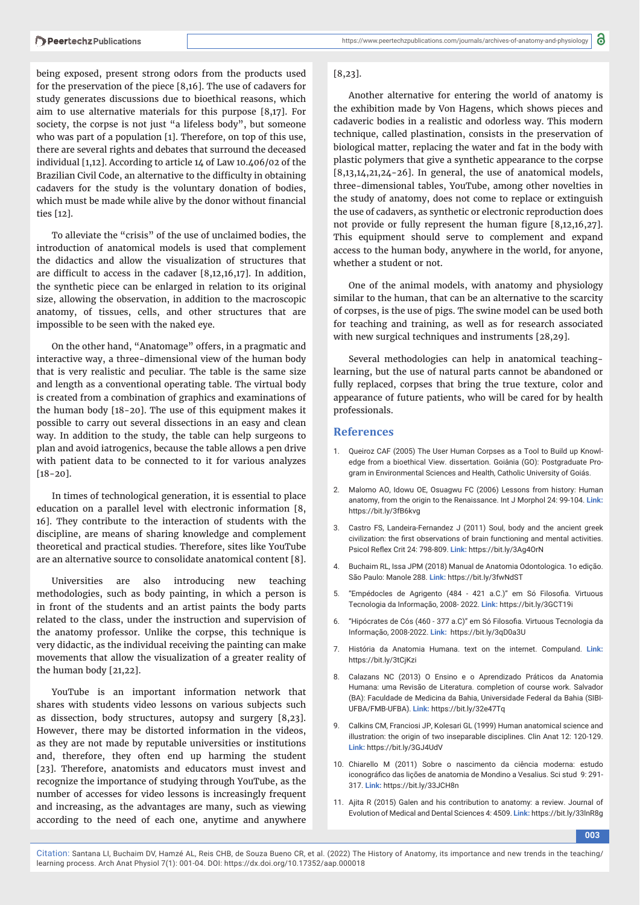being exposed, present strong odors from the products used for the preservation of the piece [8,16]. The use of cadavers for study generates discussions due to bioethical reasons, which aim to use alternative materials for this purpose [8,17]. For society, the corpse is not just "a lifeless body", but someone who was part of a population [1]. Therefore, on top of this use, there are several rights and debates that surround the deceased individual [1,12]. According to article 14 of Law 10.406/02 of the Brazilian Civil Code, an alternative to the difficulty in obtaining cadavers for the study is the voluntary donation of bodies, which must be made while alive by the donor without financial ties [12].

To alleviate the "crisis" of the use of unclaimed bodies, the introduction of anatomical models is used that complement the didactics and allow the visualization of structures that are difficult to access in the cadaver  $[8,12,16,17]$ . In addition, the synthetic piece can be enlarged in relation to its original size, allowing the observation, in addition to the macroscopic anatomy, of tissues, cells, and other structures that are impossible to be seen with the naked eye.

On the other hand, "Anatomage" offers, in a pragmatic and interactive way, a three-dimensional view of the human body that is very realistic and peculiar. The table is the same size and length as a conventional operating table. The virtual body is created from a combination of graphics and examinations of the human body [18-20]. The use of this equipment makes it possible to carry out several dissections in an easy and clean way. In addition to the study, the table can help surgeons to plan and avoid iatrogenics, because the table allows a pen drive with patient data to be connected to it for various analyzes [18-20].

In times of technological generation, it is essential to place education on a parallel level with electronic information [8, 16]. They contribute to the interaction of students with the discipline, are means of sharing knowledge and complement theoretical and practical studies. Therefore, sites like YouTube are an alternative source to consolidate anatomical content [8].

Universities are also introducing new teaching methodologies, such as body painting, in which a person is in front of the students and an artist paints the body parts related to the class, under the instruction and supervision of the anatomy professor. Unlike the corpse, this technique is very didactic, as the individual receiving the painting can make movements that allow the visualization of a greater reality of the human body [21,22].

YouTube is an important information network that shares with students video lessons on various subjects such as dissection, body structures, autopsy and surgery [8,23]. However, there may be distorted information in the videos, as they are not made by reputable universities or institutions and, therefore, they often end up harming the student [23]. Therefore, anatomists and educators must invest and recognize the importance of studying through YouTube, as the number of accesses for video lessons is increasingly frequent and increasing, as the advantages are many, such as viewing according to the need of each one, anytime and anywhere

#### [8,23].

Another alternative for entering the world of anatomy is the exhibition made by Von Hagens, which shows pieces and cadaveric bodies in a realistic and odorless way. This modern technique, called plastination, consists in the preservation of biological matter, replacing the water and fat in the body with plastic polymers that give a synthetic appearance to the corpse  $[8,13,14,21,24-26]$ . In general, the use of anatomical models, three-dimensional tables, YouTube, among other novelties in the study of anatomy, does not come to replace or extinguish the use of cadavers, as synthetic or electronic reproduction does not provide or fully represent the human figure [8,12,16,27]. This equipment should serve to complement and expand access to the human body, anywhere in the world, for anyone, whether a student or not.

One of the animal models, with anatomy and physiology similar to the human, that can be an alternative to the scarcity of corpses, is the use of pigs. The swine model can be used both for teaching and training, as well as for research associated with new surgical techniques and instruments [28,29].

Several methodologies can help in anatomical teachinglearning, but the use of natural parts cannot be abandoned or fully replaced, corpses that bring the true texture, color and appearance of future patients, who will be cared for by health professionals.

# **References**

- 1. Queiroz CAF (2005) The User Human Corpses as a Tool to Build up Knowledge from a bioethical View. dissertation. Goiânia (GO): Postgraduate Program in Environmental Sciences and Health, Catholic University of Goiás.
- 2. Malomo AO, Idowu OE, Osuagwu FC (2006) Lessons from history: Human anatomy, from the origin to the Renaissance. Int J Morphol 24: 99-104. **Link:** https://bit.ly/3fB6kvg
- Castro FS, Landeira-Fernandez J (2011) Soul, body and the ancient greek civilization: the first observations of brain functioning and mental activities. Psicol Reflex Crit 24: 798-809. **Link:** https://bit.ly/3Aq4OrN
- 4. Buchaim RL, Issa JPM (2018) Manual de Anatomia Odontologica. 1o edição. São Paulo: Manole 288. **Link:** https://bit.ly/3fwNdST
- 5. "Empédocles de Agrigento (484 421 a.C.)" em Só Filosofia. Virtuous Tecnologia da Informação, 2008- 2022. **Link:** https://bit.ly/3GCT19i
- 6. "Hipócrates de Cós (460 377 a.C)" em Só Filosofia. Virtuous Tecnologia da Informação, 2008-2022. **Link:** https://bit.ly/3qD0a3U
- 7. História da Anatomia Humana. text on the internet. Compuland. **Link:** https://bit.ly/3tCjKzi
- 8. Calazans NC (2013) O Ensino e o Aprendizado Práticos da Anatomia Humana: uma Revisão de Literatura. completion of course work. Salvador (BA): Faculdade de Medicina da Bahia, Universidade Federal da Bahia (SIBI-UFBA/FMB-UFBA). **Link:** https://bit.ly/32e47Tq
- 9. Calkins CM, Franciosi JP, Kolesari GL (1999) Human anatomical science and illustration: the origin of two inseparable disciplines. Clin Anat 12: 120-129. **Link:** https://bit.ly/3GJ4UdV
- 10. Chiarello M (2011) Sobre o nascimento da ciência moderna: estudo iconográfico das lições de anatomia de Mondino a Vesalius. Sci stud 9:291-317. **Link:** https://bit.ly/33JCH8n
- 11. Ajita R (2015) Galen and his contribution to anatomy: a review. Journal of Evolution of Medical and Dental Sciences 4: 4509. **Link:** https://bit.ly/33lnR8g

**003**

Citation: Santana LI, Buchaim DV, Hamzé AL, Reis CHB, de Souza Bueno CR, et al. (2022) The History of Anatomy, its importance and new trends in the teaching/ learning process. Arch Anat Physiol 7(1): 001-04. DOI: https://dx.doi.org/10.17352/aap.000018